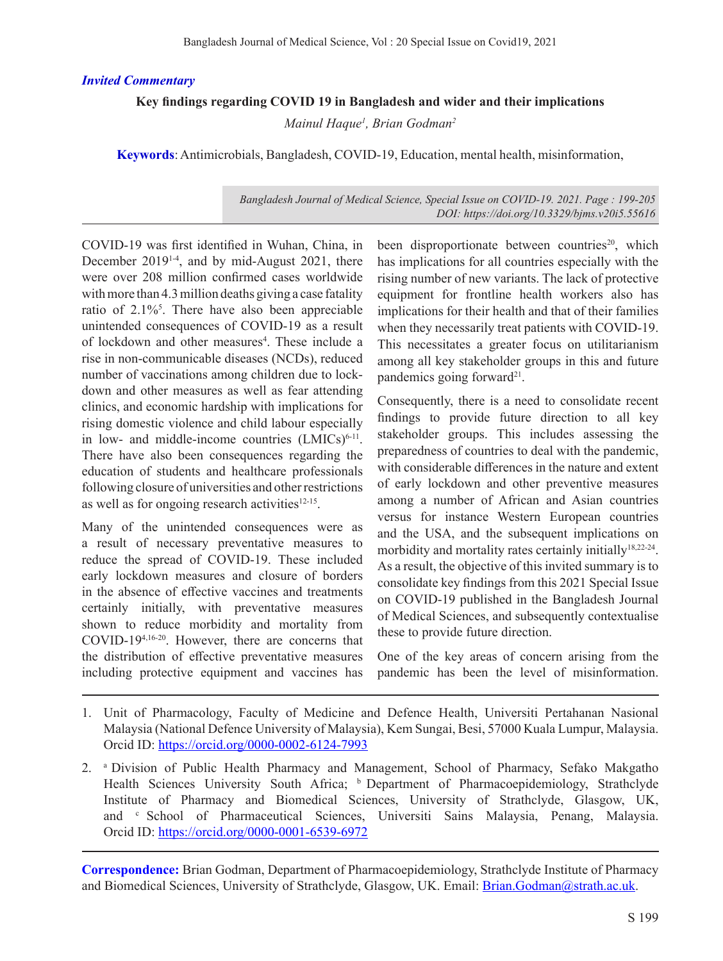### *Invited Commentary*

# **Key findings regarding COVID 19 in Bangladesh and wider and their implications**

*Mainul Haque1 , Brian Godman2*

**Keywords**: Antimicrobials, Bangladesh, COVID-19, Education, mental health, misinformation,

#### *Bangladesh Journal of Medical Science, Special Issue on COVID-19. 2021. Page : 199-205 DOI: https://doi.org/10.3329/bjms.v20i5.55616*

COVID-19 was first identified in Wuhan, China, in December 2019<sup>14</sup>, and by mid-August 2021, there were over 208 million confirmed cases worldwide with more than 4.3 million deaths giving a case fatality ratio of 2.1%<sup>5</sup>. There have also been appreciable unintended consequences of COVID-19 as a result of lockdown and other measures<sup>4</sup>. These include a rise in non-communicable diseases (NCDs), reduced number of vaccinations among children due to lockdown and other measures as well as fear attending clinics, and economic hardship with implications for rising domestic violence and child labour especially in low- and middle-income countries  $(LMICs)^{6-11}$ . There have also been consequences regarding the education of students and healthcare professionals following closure of universities and other restrictions as well as for ongoing research activities $12-15$ .

Many of the unintended consequences were as a result of necessary preventative measures to reduce the spread of COVID-19. These included early lockdown measures and closure of borders in the absence of effective vaccines and treatments certainly initially, with preventative measures shown to reduce morbidity and mortality from COVID-194,16-20. However, there are concerns that the distribution of effective preventative measures including protective equipment and vaccines has

been disproportionate between countries<sup>20</sup>, which has implications for all countries especially with the rising number of new variants. The lack of protective equipment for frontline health workers also has implications for their health and that of their families when they necessarily treat patients with COVID-19. This necessitates a greater focus on utilitarianism among all key stakeholder groups in this and future pandemics going forward $2<sup>1</sup>$ .

Consequently, there is a need to consolidate recent findings to provide future direction to all key stakeholder groups. This includes assessing the preparedness of countries to deal with the pandemic, with considerable differences in the nature and extent of early lockdown and other preventive measures among a number of African and Asian countries versus for instance Western European countries and the USA, and the subsequent implications on morbidity and mortality rates certainly initially<sup>18,22-24</sup>. As a result, the objective of this invited summary is to consolidate key findings from this 2021 Special Issue on COVID-19 published in the Bangladesh Journal of Medical Sciences, and subsequently contextualise these to provide future direction.

One of the key areas of concern arising from the pandemic has been the level of misinformation.

- 1. Unit of Pharmacology, Faculty of Medicine and Defence Health, Universiti Pertahanan Nasional Malaysia (National Defence University of Malaysia), Kem Sungai, Besi, 57000 Kuala Lumpur, Malaysia. Orcid ID: https://orcid.org/0000-0002-6124-7993
- 2. a Division of Public Health Pharmacy and Management, School of Pharmacy, Sefako Makgatho Health Sciences University South Africa; <sup>b</sup> Department of Pharmacoepidemiology, Strathclyde Institute of Pharmacy and Biomedical Sciences, University of Strathclyde, Glasgow, UK, and c School of Pharmaceutical Sciences, Universiti Sains Malaysia, Penang, Malaysia. Orcid ID: https://orcid.org/0000-0001-6539-6972

**Correspondence:** Brian Godman, Department of Pharmacoepidemiology, Strathclyde Institute of Pharmacy and Biomedical Sciences, University of Strathclyde, Glasgow, UK. Email: Brian.Godman@strath.ac.uk.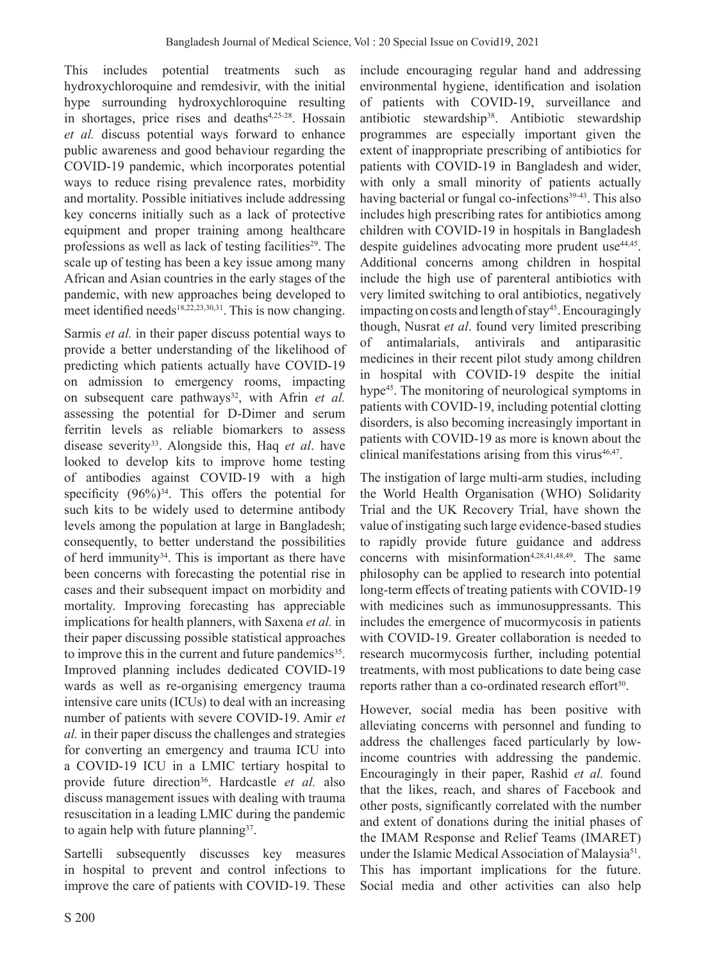This includes potential treatments such as hydroxychloroquine and remdesivir, with the initial hype surrounding hydroxychloroquine resulting in shortages, price rises and deaths $4,25-28$ . Hossain *et al.* discuss potential ways forward to enhance public awareness and good behaviour regarding the COVID-19 pandemic, which incorporates potential ways to reduce rising prevalence rates, morbidity and mortality. Possible initiatives include addressing key concerns initially such as a lack of protective equipment and proper training among healthcare professions as well as lack of testing facilities<sup>29</sup>. The scale up of testing has been a key issue among many African and Asian countries in the early stages of the pandemic, with new approaches being developed to meet identified needs<sup>18,22,23,30,31</sup>. This is now changing.

Sarmis *et al.* in their paper discuss potential ways to provide a better understanding of the likelihood of predicting which patients actually have COVID-19 on admission to emergency rooms, impacting on subsequent care pathways<sup>32</sup>, with Afrin *et al.* assessing the potential for D-Dimer and serum ferritin levels as reliable biomarkers to assess disease severity33. Alongside this, Haq *et al*. have looked to develop kits to improve home testing of antibodies against COVID-19 with a high specificity  $(96\%)^{34}$ . This offers the potential for such kits to be widely used to determine antibody levels among the population at large in Bangladesh; consequently, to better understand the possibilities of herd immunity $34$ . This is important as there have been concerns with forecasting the potential rise in cases and their subsequent impact on morbidity and mortality. Improving forecasting has appreciable implications for health planners, with Saxena *et al.* in their paper discussing possible statistical approaches to improve this in the current and future pandemics<sup>35</sup>. Improved planning includes dedicated COVID-19 wards as well as re-organising emergency trauma intensive care units (ICUs) to deal with an increasing number of patients with severe COVID-19. Amir *et al.* in their paper discuss the challenges and strategies for converting an emergency and trauma ICU into a COVID-19 ICU in a LMIC tertiary hospital to provide future direction<sup>36</sup>. Hardcastle *et al.* also discuss management issues with dealing with trauma resuscitation in a leading LMIC during the pandemic to again help with future planning $37$ .

Sartelli subsequently discusses key measures in hospital to prevent and control infections to improve the care of patients with COVID-19. These

include encouraging regular hand and addressing environmental hygiene, identification and isolation of patients with COVID-19, surveillance and antibiotic stewardship<sup>38</sup>. Antibiotic stewardship programmes are especially important given the extent of inappropriate prescribing of antibiotics for patients with COVID-19 in Bangladesh and wider, with only a small minority of patients actually having bacterial or fungal co-infections<sup>39-43</sup>. This also includes high prescribing rates for antibiotics among children with COVID-19 in hospitals in Bangladesh despite guidelines advocating more prudent use<sup>44,45</sup>. Additional concerns among children in hospital include the high use of parenteral antibiotics with very limited switching to oral antibiotics, negatively impacting on costs and length of stay<sup>45</sup>. Encouragingly though, Nusrat *et al*. found very limited prescribing antimalarials, antivirals and antiparasitic medicines in their recent pilot study among children in hospital with COVID-19 despite the initial hype<sup>45</sup>. The monitoring of neurological symptoms in patients with COVID-19, including potential clotting disorders, is also becoming increasingly important in patients with COVID-19 as more is known about the clinical manifestations arising from this virus $46,47$ .

The instigation of large multi-arm studies, including the World Health Organisation (WHO) Solidarity Trial and the UK Recovery Trial, have shown the value of instigating such large evidence-based studies to rapidly provide future guidance and address concerns with misinformation<sup>4,28,41,48,49</sup>. The same philosophy can be applied to research into potential long-term effects of treating patients with COVID-19 with medicines such as immunosuppressants. This includes the emergence of mucormycosis in patients with COVID-19. Greater collaboration is needed to research mucormycosis further, including potential treatments, with most publications to date being case reports rather than a co-ordinated research effort<sup>50</sup>.

However, social media has been positive with alleviating concerns with personnel and funding to address the challenges faced particularly by lowincome countries with addressing the pandemic. Encouragingly in their paper, Rashid *et al.* found that the likes, reach, and shares of Facebook and other posts, significantly correlated with the number and extent of donations during the initial phases of the IMAM Response and Relief Teams (IMARET) under the Islamic Medical Association of Malaysia<sup>51</sup>. This has important implications for the future. Social media and other activities can also help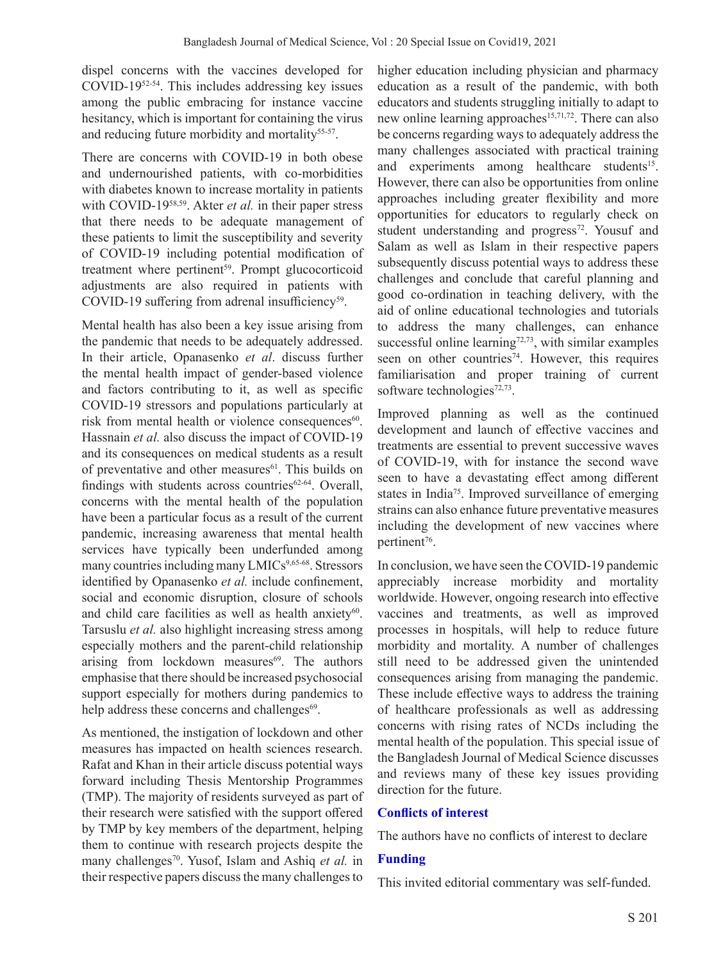dispel concerns with the vaccines developed for COVID-1952-54. This includes addressing key issues among the public embracing for instance vaccine hesitancy, which is important for containing the virus and reducing future morbidity and mortality<sup>55-57</sup>.

There are concerns with COVID-19 in both obese and undernourished patients, with co-morbidities with diabetes known to increase mortality in patients with COVID-1958,59. Akter *et al.* in their paper stress that there needs to be adequate management of these patients to limit the susceptibility and severity of COVID-19 including potential modification of treatment where pertinent<sup>59</sup>. Prompt glucocorticoid adjustments are also required in patients with COVID-19 suffering from adrenal insufficiency<sup>59</sup>.

Mental health has also been a key issue arising from the pandemic that needs to be adequately addressed. In their article, Opanasenko *et al*. discuss further the mental health impact of gender-based violence and factors contributing to it, as well as specific COVID-19 stressors and populations particularly at risk from mental health or violence consequences<sup>60</sup>. Hassnain *et al.* also discuss the impact of COVID-19 and its consequences on medical students as a result of preventative and other measures<sup>61</sup>. This builds on findings with students across countries $62-64$ . Overall, concerns with the mental health of the population have been a particular focus as a result of the current pandemic, increasing awareness that mental health services have typically been underfunded among many countries including many LMICs<sup>9,65-68</sup>. Stressors identified by Opanasenko *et al.* include confinement, social and economic disruption, closure of schools and child care facilities as well as health anxiety<sup>60</sup>. Tarsuslu *et al.* also highlight increasing stress among especially mothers and the parent-child relationship arising from lockdown measures $69$ . The authors emphasise that there should be increased psychosocial support especially for mothers during pandemics to help address these concerns and challenges<sup>69</sup>.

As mentioned, the instigation of lockdown and other measures has impacted on health sciences research. Rafat and Khan in their article discuss potential ways forward including Thesis Mentorship Programmes (TMP). The majority of residents surveyed as part of their research were satisfied with the support offered by TMP by key members of the department, helping them to continue with research projects despite the many challenges<sup>70</sup>. Yusof, Islam and Ashiq *et al.* in their respective papers discuss the many challenges to

higher education including physician and pharmacy education as a result of the pandemic, with both educators and students struggling initially to adapt to new online learning approaches<sup>15,71,72</sup>. There can also be concerns regarding ways to adequately address the many challenges associated with practical training and experiments among healthcare students<sup>15</sup>. However, there can also be opportunities from online approaches including greater flexibility and more opportunities for educators to regularly check on student understanding and progress<sup>72</sup>. Yousuf and Salam as well as Islam in their respective papers subsequently discuss potential ways to address these challenges and conclude that careful planning and good co-ordination in teaching delivery, with the aid of online educational technologies and tutorials to address the many challenges, can enhance successful online learning $72,73$ , with similar examples seen on other countries<sup>74</sup>. However, this requires familiarisation and proper training of current software technologies<sup>72,73</sup>.

Improved planning as well as the continued development and launch of effective vaccines and treatments are essential to prevent successive waves of COVID-19, with for instance the second wave seen to have a devastating effect among different states in India75. Improved surveillance of emerging strains can also enhance future preventative measures including the development of new vaccines where pertinent<sup>76</sup>.

In conclusion, we have seen the COVID-19 pandemic appreciably increase morbidity and mortality worldwide. However, ongoing research into effective vaccines and treatments, as well as improved processes in hospitals, will help to reduce future morbidity and mortality. A number of challenges still need to be addressed given the unintended consequences arising from managing the pandemic. These include effective ways to address the training of healthcare professionals as well as addressing concerns with rising rates of NCDs including the mental health of the population. This special issue of the Bangladesh Journal of Medical Science discusses and reviews many of these key issues providing direction for the future.

### **Conflicts of interest**

The authors have no conflicts of interest to declare

# **Funding**

This invited editorial commentary was self-funded.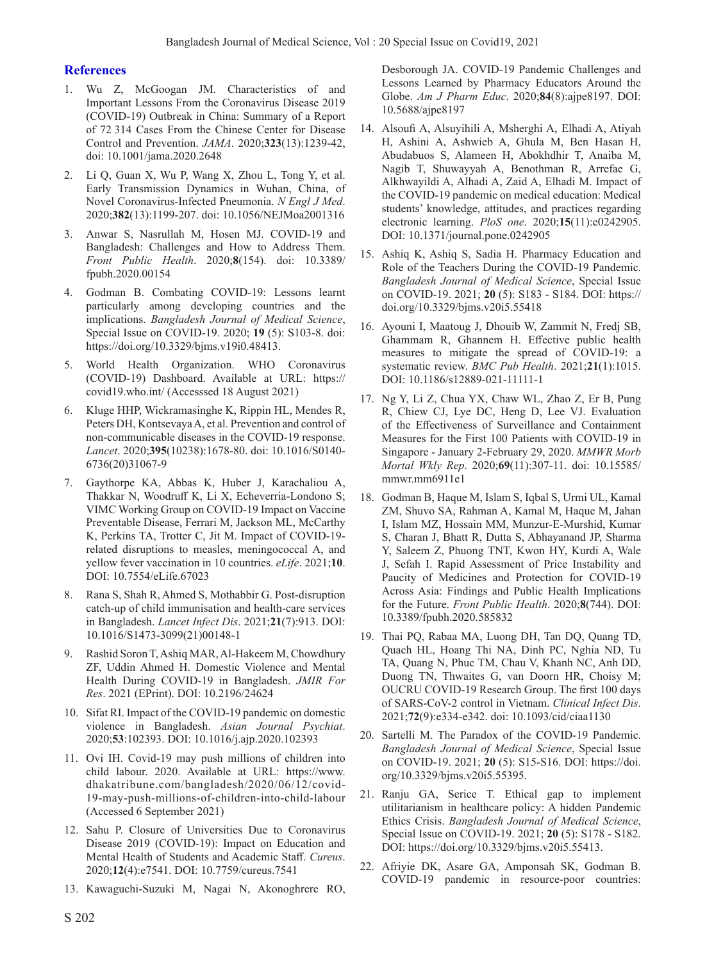#### **References**

- 1. Wu Z, McGoogan JM. Characteristics of and Important Lessons From the Coronavirus Disease 2019 (COVID-19) Outbreak in China: Summary of a Report of 72 314 Cases From the Chinese Center for Disease Control and Prevention. *JAMA*. 2020;**323**(13):1239-42, doi: 10.1001/jama.2020.2648
- Li Q, Guan X, Wu P, Wang X, Zhou L, Tong Y, et al. Early Transmission Dynamics in Wuhan, China, of Novel Coronavirus-Infected Pneumonia. *N Engl J Med*. 2020;**382**(13):1199-207. doi: 10.1056/NEJMoa2001316
- 3. Anwar S, Nasrullah M, Hosen MJ. COVID-19 and Bangladesh: Challenges and How to Address Them. *Front Public Health*. 2020;**8**(154). doi: 10.3389/ fpubh.2020.00154
- 4. Godman B. Combating COVID-19: Lessons learnt particularly among developing countries and the implications. *Bangladesh Journal of Medical Science*, Special Issue on COVID-19. 2020; **19** (5): S103-8. doi: https://doi.org/10.3329/bjms.v19i0.48413.
- 5. World Health Organization. WHO Coronavirus (COVID-19) Dashboard. Available at URL: https:// covid19.who.int/ (Accesssed 18 August 2021)
- 6. Kluge HHP, Wickramasinghe K, Rippin HL, Mendes R, Peters DH, Kontsevaya A, et al. Prevention and control of non-communicable diseases in the COVID-19 response. *Lancet*. 2020;**395**(10238):1678-80. doi: 10.1016/S0140- 6736(20)31067-9
- 7. Gaythorpe KA, Abbas K, Huber J, Karachaliou A, Thakkar N, Woodruff K, Li X, Echeverria-Londono S; VIMC Working Group on COVID-19 Impact on Vaccine Preventable Disease, Ferrari M, Jackson ML, McCarthy K, Perkins TA, Trotter C, Jit M. Impact of COVID-19 related disruptions to measles, meningococcal A, and yellow fever vaccination in 10 countries. *eLife*. 2021;**10**. DOI: 10.7554/eLife.67023
- 8. Rana S, Shah R, Ahmed S, Mothabbir G. Post-disruption catch-up of child immunisation and health-care services in Bangladesh. *Lancet Infect Dis*. 2021;**21**(7):913. DOI: 10.1016/S1473-3099(21)00148-1
- 9. Rashid Soron T, Ashiq MAR, Al-Hakeem M, Chowdhury ZF, Uddin Ahmed H. Domestic Violence and Mental Health During COVID-19 in Bangladesh. *JMIR For Res*. 2021 (EPrint). DOI: 10.2196/24624
- 10. Sifat RI. Impact of the COVID-19 pandemic on domestic violence in Bangladesh. *Asian Journal Psychiat*. 2020;**53**:102393. DOI: 10.1016/j.ajp.2020.102393
- 11. Ovi IH. Covid-19 may push millions of children into child labour. 2020. Available at URL: https://www. dhakatribune.com/bangladesh/2020/06/12/covid-19-may-push-millions-of-children-into-child-labour (Accessed 6 September 2021)
- 12. Sahu P. Closure of Universities Due to Coronavirus Disease 2019 (COVID-19): Impact on Education and Mental Health of Students and Academic Staff. *Cureus*. 2020;**12**(4):e7541. DOI: 10.7759/cureus.7541
- 13. Kawaguchi-Suzuki M, Nagai N, Akonoghrere RO,

Desborough JA. COVID-19 Pandemic Challenges and Lessons Learned by Pharmacy Educators Around the Globe. *Am J Pharm Educ*. 2020;**84**(8):ajpe8197. DOI: 10.5688/ajpe8197

- 14. Alsoufi A, Alsuyihili A, Msherghi A, Elhadi A, Atiyah H, Ashini A, Ashwieb A, Ghula M, Ben Hasan H, Abudabuos S, Alameen H, Abokhdhir T, Anaiba M, Nagib T, Shuwayyah A, Benothman R, Arrefae G, Alkhwayildi A, Alhadi A, Zaid A, Elhadi M. Impact of the COVID-19 pandemic on medical education: Medical students' knowledge, attitudes, and practices regarding electronic learning. *PloS one*. 2020;**15**(11):e0242905. DOI: 10.1371/journal.pone.0242905
- 15. Ashiq K, Ashiq S, Sadia H. Pharmacy Education and Role of the Teachers During the COVID-19 Pandemic. *Bangladesh Journal of Medical Science*, Special Issue on COVID-19. 2021; **20** (5): S183 - S184. DOI: https:// doi.org/10.3329/bjms.v20i5.55418
- 16. Ayouni I, Maatoug J, Dhouib W, Zammit N, Fredj SB, Ghammam R, Ghannem H. Effective public health measures to mitigate the spread of COVID-19: a systematic review. *BMC Pub Health*. 2021;**21**(1):1015. DOI: 10.1186/s12889-021-11111-1
- 17. Ng Y, Li Z, Chua YX, Chaw WL, Zhao Z, Er B, Pung R, Chiew CJ, Lye DC, Heng D, Lee VJ. Evaluation of the Effectiveness of Surveillance and Containment Measures for the First 100 Patients with COVID-19 in Singapore - January 2-February 29, 2020. *MMWR Morb Mortal Wkly Rep*. 2020;**69**(11):307-11. doi: 10.15585/ mmwr.mm6911e1
- 18. Godman B, Haque M, Islam S, Iqbal S, Urmi UL, Kamal ZM, Shuvo SA, Rahman A, Kamal M, Haque M, Jahan I, Islam MZ, Hossain MM, Munzur-E-Murshid, Kumar S, Charan J, Bhatt R, Dutta S, Abhayanand JP, Sharma Y, Saleem Z, Phuong TNT, Kwon HY, Kurdi A, Wale J, Sefah I. Rapid Assessment of Price Instability and Paucity of Medicines and Protection for COVID-19 Across Asia: Findings and Public Health Implications for the Future. *Front Public Health*. 2020;**8**(744). DOI: 10.3389/fpubh.2020.585832
- 19. Thai PQ, Rabaa MA, Luong DH, Tan DQ, Quang TD, Quach HL, Hoang Thi NA, Dinh PC, Nghia ND, Tu TA, Quang N, Phuc TM, Chau V, Khanh NC, Anh DD, Duong TN, Thwaites G, van Doorn HR, Choisy M; OUCRU COVID-19 Research Group. The first 100 days of SARS-CoV-2 control in Vietnam. *Clinical Infect Dis*. 2021;**72**(9):e334-e342. doi: 10.1093/cid/ciaa1130
- 20. Sartelli M. The Paradox of the COVID-19 Pandemic. *Bangladesh Journal of Medical Science*, Special Issue on COVID-19. 2021; **20** (5): S15-S16. DOI: https://doi. org/10.3329/bjms.v20i5.55395.
- 21. Ranju GA, Serice T. Ethical gap to implement utilitarianism in healthcare policy: A hidden Pandemic Ethics Crisis. *Bangladesh Journal of Medical Science*, Special Issue on COVID-19. 2021; **20** (5): S178 - S182. DOI: https://doi.org/10.3329/bjms.v20i5.55413.
- 22. Afriyie DK, Asare GA, Amponsah SK, Godman B. COVID-19 pandemic in resource-poor countries: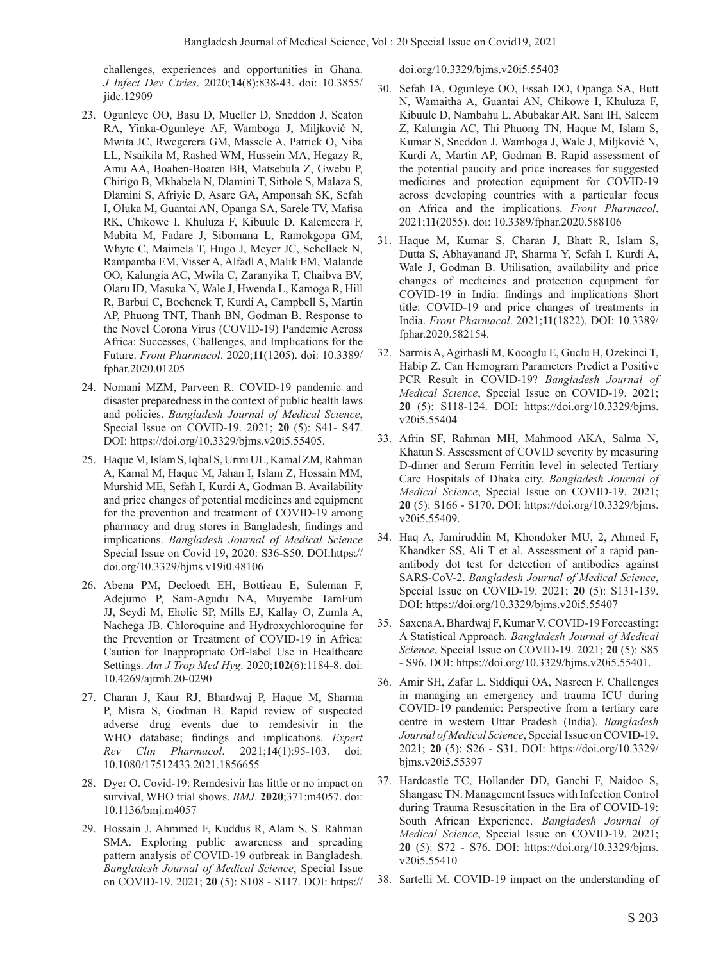challenges, experiences and opportunities in Ghana. *J Infect Dev Ctries*. 2020;**14**(8):838-43. doi: 10.3855/ iidc.12909

- 23. Ogunleye OO, Basu D, Mueller D, Sneddon J, Seaton RA, Yinka-Ogunleye AF, Wamboga J, Miljković N, Mwita JC, Rwegerera GM, Massele A, Patrick O, Niba LL, Nsaikila M, Rashed WM, Hussein MA, Hegazy R, Amu AA, Boahen-Boaten BB, Matsebula Z, Gwebu P, Chirigo B, Mkhabela N, Dlamini T, Sithole S, Malaza S, Dlamini S, Afriyie D, Asare GA, Amponsah SK, Sefah I, Oluka M, Guantai AN, Opanga SA, Sarele TV, Mafisa RK, Chikowe I, Khuluza F, Kibuule D, Kalemeera F, Mubita M, Fadare J, Sibomana L, Ramokgopa GM, Whyte C, Maimela T, Hugo J, Meyer JC, Schellack N, Rampamba EM, Visser A, Alfadl A, Malik EM, Malande OO, Kalungia AC, Mwila C, Zaranyika T, Chaibva BV, Olaru ID, Masuka N, Wale J, Hwenda L, Kamoga R, Hill R, Barbui C, Bochenek T, Kurdi A, Campbell S, Martin AP, Phuong TNT, Thanh BN, Godman B. Response to the Novel Corona Virus (COVID-19) Pandemic Across Africa: Successes, Challenges, and Implications for the Future. *Front Pharmacol*. 2020;**11**(1205). doi: 10.3389/ fphar.2020.01205
- 24. Nomani MZM, Parveen R. COVID-19 pandemic and disaster preparedness in the context of public health laws and policies. *Bangladesh Journal of Medical Science*, Special Issue on COVID-19. 2021; **20** (5): S41- S47. DOI: https://doi.org/10.3329/bjms.v20i5.55405.
- 25. Haque M, Islam S, Iqbal S, Urmi UL, Kamal ZM, Rahman A, Kamal M, Haque M, Jahan I, Islam Z, Hossain MM, Murshid ME, Sefah I, Kurdi A, Godman B. Availability and price changes of potential medicines and equipment for the prevention and treatment of COVID-19 among pharmacy and drug stores in Bangladesh; findings and implications. *Bangladesh Journal of Medical Science* Special Issue on Covid 19, 2020: S36-S50. DOI:https:// doi.org/10.3329/bjms.v19i0.48106
- 26. Abena PM, Decloedt EH, Bottieau E, Suleman F, Adejumo P, Sam-Agudu NA, Muyembe TamFum JJ, Seydi M, Eholie SP, Mills EJ, Kallay O, Zumla A, Nachega JB. Chloroquine and Hydroxychloroquine for the Prevention or Treatment of COVID-19 in Africa: Caution for Inappropriate Off-label Use in Healthcare Settings. *Am J Trop Med Hyg*. 2020;**102**(6):1184-8. doi: 10.4269/ajtmh.20-0290
- 27. Charan J, Kaur RJ, Bhardwaj P, Haque M, Sharma P, Misra S, Godman B. Rapid review of suspected adverse drug events due to remdesivir in the WHO database; findings and implications. *Expert Rev Clin Pharmacol*. 2021;**14**(1):95-103. doi: 10.1080/17512433.2021.1856655
- 28. Dyer O. Covid-19: Remdesivir has little or no impact on survival, WHO trial shows. *BMJ*. **2020**;371:m4057. doi: 10.1136/bmj.m4057
- 29. Hossain J, Ahmmed F, Kuddus R, Alam S, S. Rahman SMA. Exploring public awareness and spreading pattern analysis of COVID-19 outbreak in Bangladesh. *Bangladesh Journal of Medical Science*, Special Issue on COVID-19. 2021; **20** (5): S108 - S117. DOI: https://

doi.org/10.3329/bjms.v20i5.55403

- 30. Sefah IA, Ogunleye OO, Essah DO, Opanga SA, Butt N, Wamaitha A, Guantai AN, Chikowe I, Khuluza F, Kibuule D, Nambahu L, Abubakar AR, Sani IH, Saleem Z, Kalungia AC, Thi Phuong TN, Haque M, Islam S, Kumar S, Sneddon J, Wamboga J, Wale J, Miljković N, Kurdi A, Martin AP, Godman B. Rapid assessment of the potential paucity and price increases for suggested medicines and protection equipment for COVID-19 across developing countries with a particular focus on Africa and the implications. *Front Pharmacol*. 2021;**11**(2055). doi: 10.3389/fphar.2020.588106
- 31. Haque M, Kumar S, Charan J, Bhatt R, Islam S, Dutta S, Abhayanand JP, Sharma Y, Sefah I, Kurdi A, Wale J, Godman B. Utilisation, availability and price changes of medicines and protection equipment for COVID-19 in India: findings and implications Short title: COVID-19 and price changes of treatments in India. *Front Pharmacol*. 2021;**11**(1822). DOI: 10.3389/ fphar.2020.582154.
- 32. Sarmis A, Agirbasli M, Kocoglu E, Guclu H, Ozekinci T, Habip Z. Can Hemogram Parameters Predict a Positive PCR Result in COVID-19? *Bangladesh Journal of Medical Science*, Special Issue on COVID-19. 2021; **20** (5): S118-124. DOI: https://doi.org/10.3329/bjms. v20i5.55404
- 33. Afrin SF, Rahman MH, Mahmood AKA, Salma N, Khatun S. Assessment of COVID severity by measuring D-dimer and Serum Ferritin level in selected Tertiary Care Hospitals of Dhaka city. *Bangladesh Journal of Medical Science*, Special Issue on COVID-19. 2021; **20** (5): S166 - S170. DOI: https://doi.org/10.3329/bjms. v20i5.55409.
- 34. Haq A, Jamiruddin M, Khondoker MU, 2, Ahmed F, Khandker SS, Ali T et al. Assessment of a rapid panantibody dot test for detection of antibodies against SARS-CoV-2. *Bangladesh Journal of Medical Science*, Special Issue on COVID-19. 2021; **20** (5): S131-139. DOI: https://doi.org/10.3329/bjms.v20i5.55407
- 35. Saxena A, Bhardwaj F, Kumar V. COVID-19 Forecasting: A Statistical Approach. *Bangladesh Journal of Medical Science*, Special Issue on COVID-19. 2021; **20** (5): S85 - S96. DOI: https://doi.org/10.3329/bjms.v20i5.55401.
- 36. Amir SH, Zafar L, Siddiqui OA, Nasreen F. Challenges in managing an emergency and trauma ICU during COVID-19 pandemic: Perspective from a tertiary care centre in western Uttar Pradesh (India). *Bangladesh Journal of Medical Science*, Special Issue on COVID-19. 2021; **20** (5): S26 - S31. DOI: https://doi.org/10.3329/ bjms.v20i5.55397
- 37. Hardcastle TC, Hollander DD, Ganchi F, Naidoo S, Shangase TN. Management Issues with Infection Control during Trauma Resuscitation in the Era of COVID-19: South African Experience. *Bangladesh Journal of Medical Science*, Special Issue on COVID-19. 2021; **20** (5): S72 - S76. DOI: https://doi.org/10.3329/bjms. v20i5.55410
- 38. Sartelli M. COVID-19 impact on the understanding of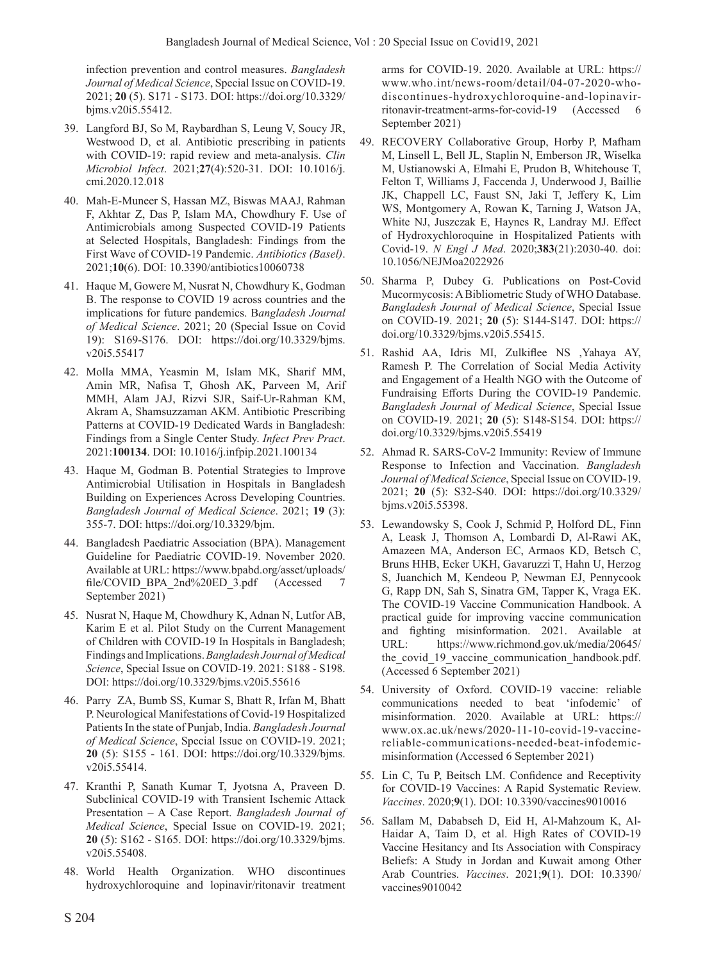infection prevention and control measures. *Bangladesh Journal of Medical Science*, Special Issue on COVID-19. 2021; **20** (5). S171 - S173. DOI: https://doi.org/10.3329/ bjms.v20i5.55412.

- 39. Langford BJ, So M, Raybardhan S, Leung V, Soucy JR, Westwood D, et al. Antibiotic prescribing in patients with COVID-19: rapid review and meta-analysis. *Clin Microbiol Infect*. 2021;**27**(4):520-31. DOI: 10.1016/j. cmi.2020.12.018
- 40. Mah-E-Muneer S, Hassan MZ, Biswas MAAJ, Rahman F, Akhtar Z, Das P, Islam MA, Chowdhury F. Use of Antimicrobials among Suspected COVID-19 Patients at Selected Hospitals, Bangladesh: Findings from the First Wave of COVID-19 Pandemic. *Antibiotics (Basel)*. 2021;**10**(6). DOI: 10.3390/antibiotics10060738
- 41. Haque M, Gowere M, Nusrat N, Chowdhury K, Godman B. The response to COVID 19 across countries and the implications for future pandemics. B*angladesh Journal of Medical Science*. 2021; 20 (Special Issue on Covid 19): S169-S176. DOI: https://doi.org/10.3329/bjms. v20i5.55417
- 42. Molla MMA, Yeasmin M, Islam MK, Sharif MM, Amin MR, Nafisa T, Ghosh AK, Parveen M, Arif MMH, Alam JAJ, Rizvi SJR, Saif-Ur-Rahman KM, Akram A, Shamsuzzaman AKM. Antibiotic Prescribing Patterns at COVID-19 Dedicated Wards in Bangladesh: Findings from a Single Center Study. *Infect Prev Pract*. 2021:**100134**. DOI: 10.1016/j.infpip.2021.100134
- 43. Haque M, Godman B. Potential Strategies to Improve Antimicrobial Utilisation in Hospitals in Bangladesh Building on Experiences Across Developing Countries. *Bangladesh Journal of Medical Science*. 2021; **19** (3): 355-7. DOI: https://doi.org/10.3329/bjm.
- 44. Bangladesh Paediatric Association (BPA). Management Guideline for Paediatric COVID-19. November 2020. Available at URL: https://www.bpabd.org/asset/uploads/ file/COVID\_BPA\_2nd%20ED\_3.pdf (Accessed 7 September 2021)
- 45. Nusrat N, Haque M, Chowdhury K, Adnan N, Lutfor AB, Karim E et al. Pilot Study on the Current Management of Children with COVID-19 In Hospitals in Bangladesh; Findings and Implications. *Bangladesh Journal of Medical Science*, Special Issue on COVID-19. 2021: S188 - S198. DOI: https://doi.org/10.3329/bjms.v20i5.55616
- 46. Parry ZA, Bumb SS, Kumar S, Bhatt R, Irfan M, Bhatt P. Neurological Manifestations of Covid-19 Hospitalized Patients In the state of Punjab, India. *Bangladesh Journal of Medical Science*, Special Issue on COVID-19. 2021; **20** (5): S155 - 161. DOI: https://doi.org/10.3329/bjms. v20i5.55414.
- 47. Kranthi P, Sanath Kumar T, Jyotsna A, Praveen D. Subclinical COVID-19 with Transient Ischemic Attack Presentation – A Case Report. *Bangladesh Journal of Medical Science*, Special Issue on COVID-19. 2021; **20** (5): S162 - S165. DOI: https://doi.org/10.3329/bjms. v20i5.55408.
- 48. World Health Organization. WHO discontinues hydroxychloroquine and lopinavir/ritonavir treatment

arms for COVID-19. 2020. Available at URL: https:// www.who.int/news-room/detail/04-07-2020-whodiscontinues-hydroxychloroquine-and-lopinavirritonavir-treatment-arms-for-covid-19 (Accessed 6 September 2021)

- 49. RECOVERY Collaborative Group, Horby P, Mafham M, Linsell L, Bell JL, Staplin N, Emberson JR, Wiselka M, Ustianowski A, Elmahi E, Prudon B, Whitehouse T, Felton T, Williams J, Faccenda J, Underwood J, Baillie JK, Chappell LC, Faust SN, Jaki T, Jeffery K, Lim WS, Montgomery A, Rowan K, Tarning J, Watson JA, White NJ, Juszczak E, Haynes R, Landray MJ. Effect of Hydroxychloroquine in Hospitalized Patients with Covid-19. *N Engl J Med*. 2020;**383**(21):2030-40. doi: 10.1056/NEJMoa2022926
- 50. Sharma P, Dubey G. Publications on Post-Covid Mucormycosis: A Bibliometric Study of WHO Database. *Bangladesh Journal of Medical Science*, Special Issue on COVID-19. 2021; **20** (5): S144-S147. DOI: https:// doi.org/10.3329/bjms.v20i5.55415.
- 51. Rashid AA, Idris MI, Zulkiflee NS ,Yahaya AY, Ramesh P. The Correlation of Social Media Activity and Engagement of a Health NGO with the Outcome of Fundraising Efforts During the COVID-19 Pandemic. *Bangladesh Journal of Medical Science*, Special Issue on COVID-19. 2021; **20** (5): S148-S154. DOI: https:// doi.org/10.3329/bjms.v20i5.55419
- 52. Ahmad R. SARS-CoV-2 Immunity: Review of Immune Response to Infection and Vaccination. *Bangladesh Journal of Medical Science*, Special Issue on COVID-19. 2021; **20** (5): S32-S40. DOI: https://doi.org/10.3329/ bjms.v20i5.55398.
- 53. Lewandowsky S, Cook J, Schmid P, Holford DL, Finn A, Leask J, Thomson A, Lombardi D, Al-Rawi AK, Amazeen MA, Anderson EC, Armaos KD, Betsch C, Bruns HHB, Ecker UKH, Gavaruzzi T, Hahn U, Herzog S, Juanchich M, Kendeou P, Newman EJ, Pennycook G, Rapp DN, Sah S, Sinatra GM, Tapper K, Vraga EK. The COVID-19 Vaccine Communication Handbook. A practical guide for improving vaccine communication and fighting misinformation. 2021. Available at URL: https://www.richmond.gov.uk/media/20645/ the covid 19 vaccine\_communication\_handbook.pdf. (Accessed 6 September 2021)
- 54. University of Oxford. COVID-19 vaccine: reliable communications needed to beat 'infodemic' of misinformation. 2020. Available at URL: https:// www.ox.ac.uk/news/2020-11-10-covid-19-vaccinereliable-communications-needed-beat-infodemicmisinformation (Accessed 6 September 2021)
- 55. Lin C, Tu P, Beitsch LM. Confidence and Receptivity for COVID-19 Vaccines: A Rapid Systematic Review. *Vaccines*. 2020;**9**(1). DOI: 10.3390/vaccines9010016
- 56. Sallam M, Dababseh D, Eid H, Al-Mahzoum K, Al-Haidar A, Taim D, et al. High Rates of COVID-19 Vaccine Hesitancy and Its Association with Conspiracy Beliefs: A Study in Jordan and Kuwait among Other Arab Countries. *Vaccines*. 2021;**9**(1). DOI: 10.3390/ vaccines9010042